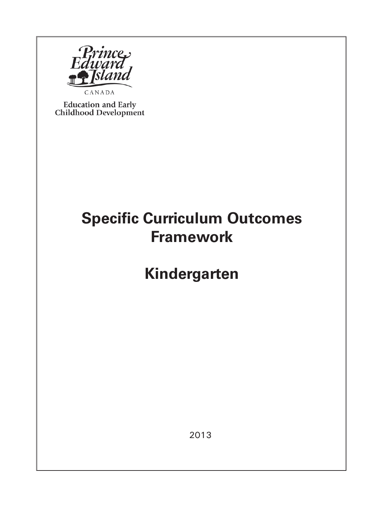

**Education and Early** Childhood Development

## **Specific Curriculum Outcomes Framework**

**Kindergarten**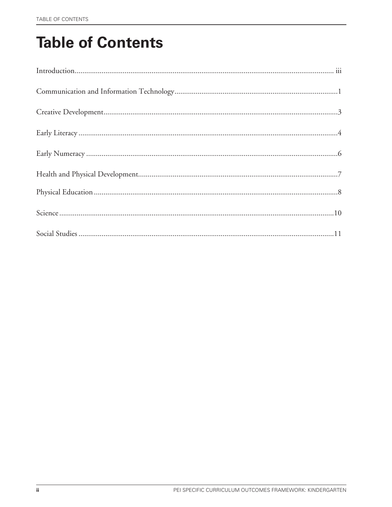# **Table of Contents**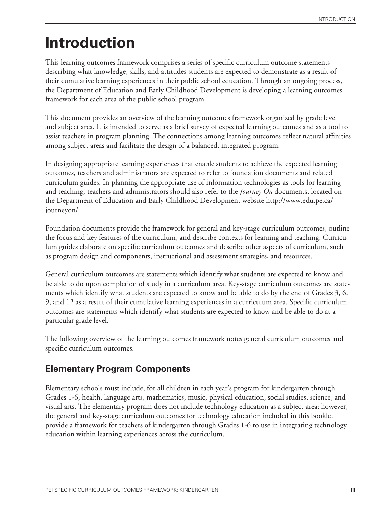## **Introduction**

This learning outcomes framework comprises a series of specific curriculum outcome statements describing what knowledge, skills, and attitudes students are expected to demonstrate as a result of their cumulative learning experiences in their public school education. Through an ongoing process, the Department of Education and Early Childhood Development is developing a learning outcomes framework for each area of the public school program.

This document provides an overview of the learning outcomes framework organized by grade level and subject area. It is intended to serve as a brief survey of expected learning outcomes and as a tool to assist teachers in program planning. The connections among learning outcomes reflect natural affinities among subject areas and facilitate the design of a balanced, integrated program.

In designing appropriate learning experiences that enable students to achieve the expected learning outcomes, teachers and administrators are expected to refer to foundation documents and related curriculum guides. In planning the appropriate use of information technologies as tools for learning and teaching, teachers and administrators should also refer to the *Journey On* documents, located on the Department of Education and Early Childhood Development website http://www.edu.pe.ca/ journeyon/

Foundation documents provide the framework for general and key-stage curriculum outcomes, outline the focus and key features of the curriculum, and describe contexts for learning and teaching. Curriculum guides elaborate on specific curriculum outcomes and describe other aspects of curriculum, such as program design and components, instructional and assessment strategies, and resources.

General curriculum outcomes are statements which identify what students are expected to know and be able to do upon completion of study in a curriculum area. Key-stage curriculum outcomes are statements which identify what students are expected to know and be able to do by the end of Grades 3, 6, 9, and 12 as a result of their cumulative learning experiences in a curriculum area. Specific curriculum outcomes are statements which identify what students are expected to know and be able to do at a particular grade level.

The following overview of the learning outcomes framework notes general curriculum outcomes and specific curriculum outcomes.

## **Elementary Program Components**

Elementary schools must include, for all children in each year's program for kindergarten through Grades 1-6, health, language arts, mathematics, music, physical education, social studies, science, and visual arts. The elementary program does not include technology education as a subject area; however, the general and key-stage curriculum outcomes for technology education included in this booklet provide a framework for teachers of kindergarten through Grades 1-6 to use in integrating technology education within learning experiences across the curriculum.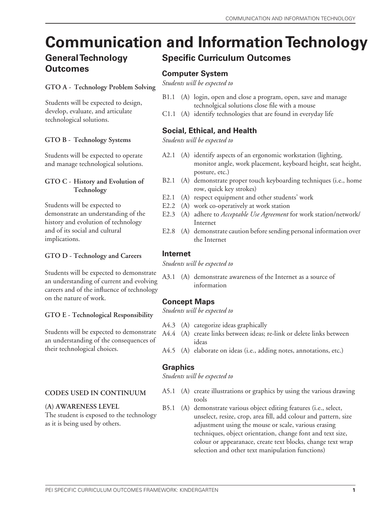# **Communication and Information Technology**

## **General Technology Outcomes**

### **GTO A - Technology Problem Solving**

Students will be expected to design, develop, evaluate, and articulate technological solutions.

### **GTO B - Technology Systems**

Students will be expected to operate and manage technological solutions.

### **GTO C - History and Evolution of Technology**

Students will be expected to demonstrate an understanding of the history and evolution of technology and of its social and cultural implications.

### **GTO D - Technology and Careers**

Students will be expected to demonstrate an understanding of current and evolving careers and of the influence of technology on the nature of work.

**GTO E - Technological Responsibility**

Students will be expected to demonstrate an understanding of the consequences of their technological choices.

### **CODES USED IN CONTINUUM**

### **(A) AWARENESS LEVEL**

The student is exposed to the technology as it is being used by others.

## **Specific Curriculum Outcomes**

### **Computer System**

*Students will be expected to*

- B1.1 (A) login, open and close a program, open, save and manage technolgical solutions close file with a mouse
- C1.1 (A) identify technologies that are found in everyday life

### **Social, Ethical, and Health**

*Students will be expected to*

- A2.1 (A) identify aspects of an ergonomic workstation (lighting, monitor angle, work placement, keyboard height, seat height, posture, etc.)
- B2.1 (A) demonstrate proper touch keyboarding techniques (i.e., home row, quick key strokes)
- E2.1 (A) respect equipment and other students' work
- E2.2 (A) work co-operatively at work station
- E2.3 (A) adhere to *Acceptable Use Agreement* for work station/network/ Internet
- E2.8 (A) demonstrate caution before sending personal information over the Internet

### **Internet**

*Students will be expected to*

A3.1 (A) demonstrate awareness of the Internet as a source of information

### **Concept Maps**

*Students will be expected to*

- A4.3 (A) categorize ideas graphically
- A4.4 (A) create links between ideas; re-link or delete links between ideas
- A4.5 (A) elaborate on ideas (i.e., adding notes, annotations, etc.)

### **Graphics**

- A5.1 (A) create illustrations or graphics by using the various drawing tools
- B5.1 (A) demonstrate various object editing features (i.e., select, unselect, resize, crop, area fill, add colour and pattern, size adjustment using the mouse or scale, various erasing techniques, object orientation, change font and text size, colour or appearanace, create text blocks, change text wrap selection and other text manipulation functions)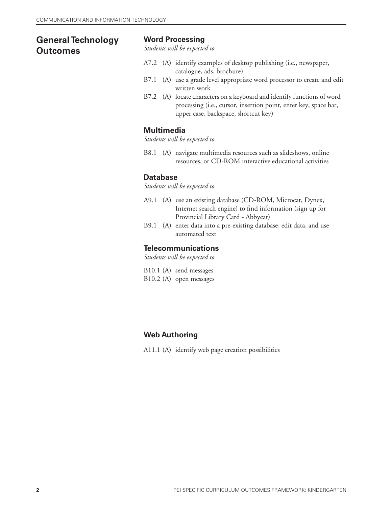## **General Technology Outcomes**

### **Word Processing**

*Students will be expected to*

- A7.2 (A) identify examples of desktop publishing (i.e., newspaper, catalogue, ads, brochure)
- B7.1 (A) use a grade level appropriate word processor to create and edit written work
- B7.2 (A) locate characters on a keyboard and identify functions of word processing (i.e., cursor, insertion point, enter key, space bar, upper case, backspace, shortcut key)

### **Multimedia**

*Students will be expected to*

B8.1 (A) navigate multimedia resources such as slideshows, online resources, or CD-ROM interactive educational activities

#### **Database**

*Students will be expected to*

- A9.1 (A) use an existing database (CD-ROM, Microcat, Dynex, Internet search engine) to find information (sign up for Provincial Library Card - Abbycat)
- B9.1 (A) enter data into a pre-existing database, edit data, and use automated text

### **Telecommunications**

- B10.1 (A) send messages B10.2 (A) open messages
- **Web Authoring**
- A11.1 (A) identify web page creation possibilities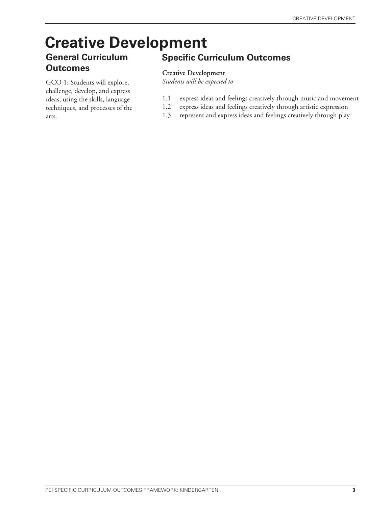# **Creative Development**

### **General Curriculum Outcomes**

GCO 1: Students will explore, challenge, develop, and express ideas, using the skills, language techniques, and processes of the arts.

## **Specific Curriculum Outcomes**

### **Creative Development**

- 1.1 express ideas and feelings creatively through music and movement
- 1.2 express ideas and feelings creatively through artistic expression
- 1.3 represent and express ideas and feelings creatively through play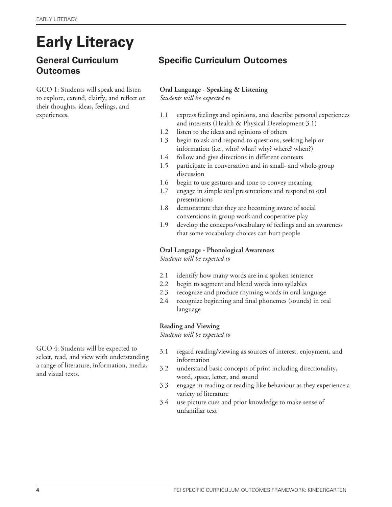# **Early Literacy**

## **General Curriculum Outcomes**

GCO 1: Students will speak and listen to explore, extend, clairfy, and reflect on their thoughts, ideas, feelings, and experiences.

## **Specific Curriculum Outcomes**

### **Oral Language - Speaking & Listening** *Students will be expected to*

- 1.1 express feelings and opinions, and describe personal experiences and interests (Health & Physical Development 3.1)
- 1.2 listen to the ideas and opinions of others
- 1.3 begin to ask and respond to questions, seeking help or information (i.e., who? what? why? where? when?)
- 1.4 follow and give directions in different contexts
- 1.5 participate in conversation and in small- and whole-group discussion
- 1.6 begin to use gestures and tone to convey meaning
- 1.7 engage in simple oral presentations and respond to oral presentations
- 1.8 demonstrate that they are becoming aware of social conventions in group work and cooperative play
- 1.9 develop the concepts/vocabulary of feelings and an awareness that some vocabulary choices can hurt people

### **Oral Language - Phonological Awareness**

*Students will be expected to*

- 2.1 identify how many words are in a spoken sentence
- 2.2 begin to segment and blend words into syllables
- 2.3 recognize and produce rhyming words in oral language
- 2.4 recognize beginning and final phonemes (sounds) in oral language

### **Reading and Viewing**

*Students will be expected to*

GCO 4: Students will be expected to select, read, and view with understanding a range of literature, information, media, and visual texts.

- 3.1 regard reading/viewing as sources of interest, enjoyment, and information
- 3.2 understand basic concepts of print including directionality, word, space, letter, and sound
- 3.3 engage in reading or reading-like behaviour as they experience a variety of literature
- 3.4 use picture cues and prior knowledge to make sense of unfamiliar text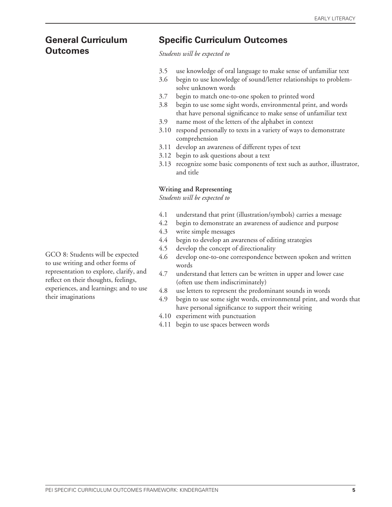# **Outcomes** *Students will be expected to*

## **General Curriculum Specific Curriculum Outcomes**

- 3.5 use knowledge of oral language to make sense of unfamiliar text
- 3.6 begin to use knowledge of sound/letter relationships to problem solve unknown words
- 3.7 begin to match one-to-one spoken to printed word
- 3.8 begin to use some sight words, environmental print, and words that have personal significance to make sense of unfamiliar text
- 3.9 name most of the letters of the alphabet in context
- 3.10 respond personally to texts in a variety of ways to demonstrate comprehension
- 3.11 develop an awareness of different types of text
- 3.12 begin to ask questions about a text
- 3.13 recognize some basic components of text such as author, illustrator, and title

### **Writing and Representing**

*Students will be expected to*

- 4.1 understand that print (illustration/symbols) carries a message
- 4.2 begin to demonstrate an awareness of audience and purpose
- 4.3 write simple messages
- 4.4 begin to develop an awareness of editing strategies
- 4.5 develop the concept of directionality
- 4.6 develop one-to-one correspondence between spoken and written words
- 4.7 understand that letters can be written in upper and lower case (often use them indiscriminately)
- 4.8 use letters to represent the predominant sounds in words
- 4.9 begin to use some sight words, environmental print, and words that have personal significance to support their writing
- 4.10 experiment with punctuation
- 4.11 begin to use spaces between words

GCO 8: Students will be expected to use writing and other forms of representation to explore, clarify, and reflect on their thoughts, feelings, experiences, and learnings; and to use their imaginations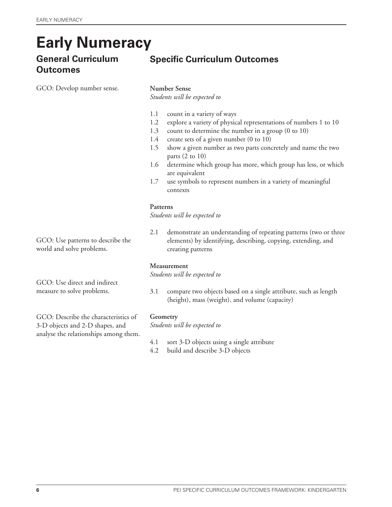## **Early Numeracy**

# **Outcomes**

GCO: Develop number sense.

## **General Curriculum Specific Curriculum Outcomes**

### **Number Sense**

*Students will be expected to*

- 1.1 count in a variety of ways
- 1.2 explore a variety of physical representations of numbers 1 to 10
- 1.3 count to determine the number in a group (0 to 10)
- 1.4 create sets of a given number (0 to 10)
- 1.5 show a given number as two parts concretely and name the two parts  $(2 \text{ to } 10)$
- 1.6 determine which group has more, which group has less, or which are equivalent
- 1.7 use symbols to represent numbers in a variety of meaningful contexts

### **Patterns**

*Students will be expected to*

2.1 demonstrate an understanding of repeating patterns (two or three elements) by identifying, describing, copying, extending, and creating patterns

### **Measurement**

*Students will be expected to*

3.1 compare two objects based on a single attribute, such as length (height), mass (weight), and volume (capacity)

### **Geometry**

*Students will be expected to*

- 4.1 sort 3-D objects using a single attribute
- 4.2 build and describe 3-D objects

GCO: Use patterns to describe the world and solve problems.

GCO: Use direct and indirect measure to solve problems.

GCO: Describe the characteristics of 3-D objects and 2-D shapes, and analyse the relationships among them.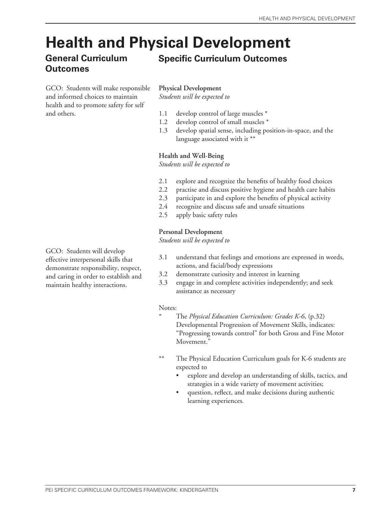## **Health and Physical Development**

## **General Curriculum Outcomes**

## **Specific Curriculum Outcomes**

GCO: Students will make responsible and informed choices to maintain health and to promote safety for self and others.

**Physical Development**

*Students will be expected to*

- 1.1 develop control of large muscles \*
- 1.2 develop control of small muscles \*
- 1.3 develop spatial sense, including position-in-space, and the language associated with it \*\*

### **Health and Well-Being**

*Students will be expected to*

- 2.1 explore and recognize the benefits of healthy food choices
- 2.2 practise and discuss positive hygiene and health care habits
- 2.3 participate in and explore the benefits of physical activity
- 2.4 recognize and discuss safe and unsafe situations
- 2.5 apply basic safety rules

### **Personal Development**

*Students will be expected to*

- 3.1 understand that feelings and emotions are expressed in words, actions, and facial/body expressions
- 3.2 demonstrate curiosity and interest in learning
- 3.3 engage in and complete activities independently; and seek assistance as necessary

### Notes:

- \* The *Physical Education Curriculum: Grades K-6*, (p.32) Developmental Progression of Movement Skills, indicates: "Progressing towards control" for both Gross and Fine Motor Movement."
- \*\* The Physical Education Curriculum goals for K-6 students are expected to
	- explore and develop an understanding of skills, tactics, and strategies in a wide variety of movement activities;
	- question, reflect, and make decisions during authentic learning experiences.

GCO: Students will develop effective interpersonal skills that demonstrate responsibility, respect, and caring in order to establish and maintain healthy interactions.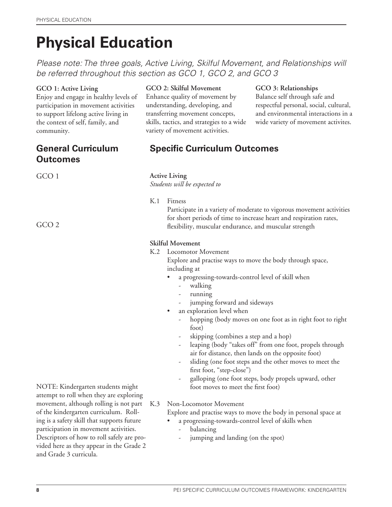# **Physical Education**

*Please note: The three goals, Active Living, Skilful Movement, and Relationships will be referred throughout this section as GCO 1, GCO 2, and GCO 3*

### **GCO 1: Active Living**

Enjoy and engage in healthy levels of participation in movement activities to support lifelong active living in the context of self, family, and community.

## **General Curriculum Outcomes**

GCO 1

GCO 2

### **GCO 2: Skilful Movement**

Enhance quality of movement by understanding, developing, and transferring movement concepts, skills, tactics, and strategies to a wide variety of movement activities.

### **GCO 3: Relationships**

Balance self through safe and respectful personal, social, cultural, and environmental interactions in a wide variety of movement activites.

## **Specific Curriculum Outcomes**

#### **Active Living**

*Students will be expected to*

K.1 Fitness

 Participate in a variety of moderate to vigorous movement activities for short periods of time to increase heart and respiration rates, flexibility, muscular endurance, and muscular strength

### **Skilful Movement**

K.2 Locomotor Movement

 Explore and practise ways to move the body through space, including at

- a progressing-towards-control level of skill when
	- walking
	- running
	- jumping forward and sideways
- an exploration level when
	- hopping (body moves on one foot as in right foot to right foot)
	- skipping (combines a step and a hop)
	- leaping (body "takes off" from one foot, propels through air for distance, then lands on the opposite foot)
	- sliding (one foot steps and the other moves to meet the first foot, "step-close")
	- galloping (one foot steps, body propels upward, other foot moves to meet the first foot)

NOTE: Kindergarten students might attempt to roll when they are exploring movement, although rolling is not part of the kindergarten curriculum. Rolling is a safety skill that supports future participation in movement activities. Descriptors of how to roll safely are provided here as they appear in the Grade 2 and Grade 3 curricula.

K.3 Non-Locomotor Movement

Explore and practise ways to move the body in personal space at

- a progressing-towards-control level of skills when
- balancing
- jumping and landing (on the spot)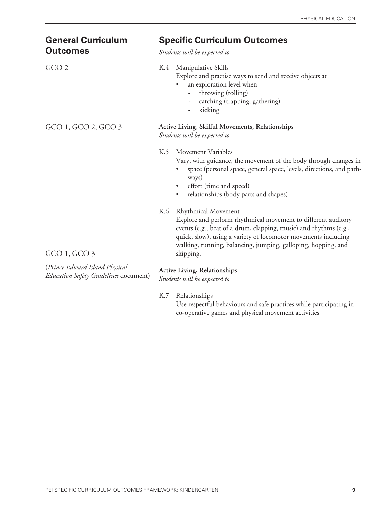| <b>General Curriculum</b><br><b>Outcomes</b>                            | <b>Specific Curriculum Outcomes</b><br>Students will be expected to                                                                                                                                                                                                                                                     |
|-------------------------------------------------------------------------|-------------------------------------------------------------------------------------------------------------------------------------------------------------------------------------------------------------------------------------------------------------------------------------------------------------------------|
| GCO <sub>2</sub>                                                        | Manipulative Skills<br>K.4<br>Explore and practise ways to send and receive objects at<br>an exploration level when<br>throwing (rolling)<br>$\overline{\phantom{0}}$<br>catching (trapping, gathering)<br>kicking<br>$\overline{\phantom{0}}$                                                                          |
| GCO 1, GCO 2, GCO 3                                                     | Active Living, Skilful Movements, Relationships<br>Students will be expected to                                                                                                                                                                                                                                         |
|                                                                         | K.5<br>Movement Variables<br>Vary, with guidance, the movement of the body through changes in<br>space (personal space, general space, levels, directions, and path-<br>ways)<br>effort (time and speed)<br>٠<br>relationships (body parts and shapes)<br>$\bullet$                                                     |
| $GCO$ 1, $GCO$ 3                                                        | K.6<br><b>Rhythmical Movement</b><br>Explore and perform rhythmical movement to different auditory<br>events (e.g., beat of a drum, clapping, music) and rhythms (e.g.,<br>quick, slow), using a variety of locomotor movements including<br>walking, running, balancing, jumping, galloping, hopping, and<br>skipping. |
| (Prince Edward Island Physical<br>Education Safety Guidelines document) | <b>Active Living, Relationships</b><br>Students will be expected to                                                                                                                                                                                                                                                     |

*Students will be expected to*

K.7 Relationships

 Use respectful behaviours and safe practices while participating in co-operative games and physical movement activities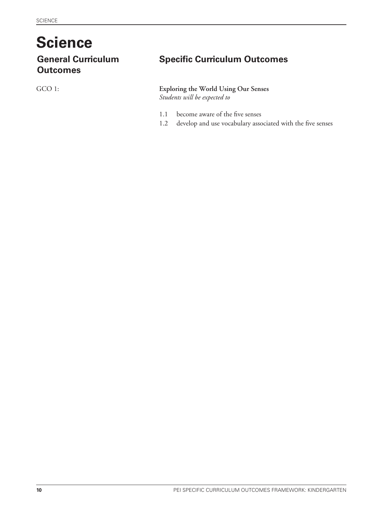# **Science**

**Outcomes**

GCO 1:

## **General Curriculum Specific Curriculum Outcomes**

## **Exploring the World Using Our Senses**

- 1.1 become aware of the five senses
- 1.2 develop and use vocabulary associated with the five senses